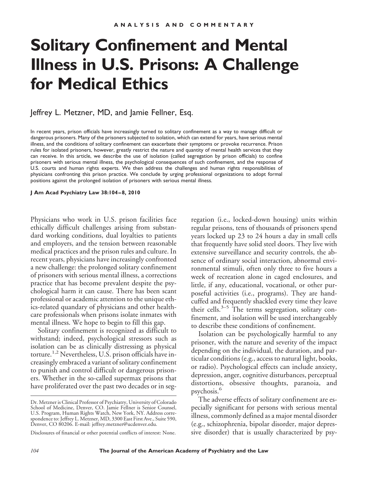## **Solitary Confinement and Mental Illness in U.S. Prisons: A Challenge for Medical Ethics**

## Jeffrey L. Metzner, MD, and Jamie Fellner, Esq.

In recent years, prison officials have increasingly turned to solitary confinement as a way to manage difficult or dangerous prisoners. Many of the prisoners subjected to isolation, which can extend for years, have serious mental illness, and the conditions of solitary confinement can exacerbate their symptoms or provoke recurrence. Prison rules for isolated prisoners, however, greatly restrict the nature and quantity of mental health services that they can receive. In this article, we describe the use of isolation (called segregation by prison officials) to confine prisoners with serious mental illness, the psychological consequences of such confinement, and the response of U.S. courts and human rights experts. We then address the challenges and human rights responsibilities of physicians confronting this prison practice. We conclude by urging professional organizations to adopt formal positions against the prolonged isolation of prisoners with serious mental illness.

**J Am Acad Psychiatry Law 38:104 – 8, 2010**

Physicians who work in U.S. prison facilities face ethically difficult challenges arising from substandard working conditions, dual loyalties to patients and employers, and the tension between reasonable medical practices and the prison rules and culture. In recent years, physicians have increasingly confronted a new challenge: the prolonged solitary confinement of prisoners with serious mental illness, a corrections practice that has become prevalent despite the psychological harm it can cause. There has been scant professional or academic attention to the unique ethics-related quandary of physicians and other healthcare professionals when prisons isolate inmates with mental illness. We hope to begin to fill this gap.

Solitary confinement is recognized as difficult to withstand; indeed, psychological stressors such as isolation can be as clinically distressing as physical torture.<sup>1,2</sup> Nevertheless, U.S. prison officials have increasingly embraced a variant of solitary confinement to punish and control difficult or dangerous prisoners. Whether in the so-called supermax prisons that have proliferated over the past two decades or in segregation (i.e., locked-down housing) units within regular prisons, tens of thousands of prisoners spend years locked up 23 to 24 hours a day in small cells that frequently have solid steel doors. They live with extensive surveillance and security controls, the absence of ordinary social interaction, abnormal environmental stimuli, often only three to five hours a week of recreation alone in caged enclosures, and little, if any, educational, vocational, or other purposeful activities (i.e., programs). They are handcuffed and frequently shackled every time they leave their cells.<sup>3–5</sup> The terms segregation, solitary confinement, and isolation will be used interchangeably to describe these conditions of confinement.

Isolation can be psychologically harmful to any prisoner, with the nature and severity of the impact depending on the individual, the duration, and particular conditions (e.g., access to natural light, books, or radio). Psychological effects can include anxiety, depression, anger, cognitive disturbances, perceptual distortions, obsessive thoughts, paranoia, and psychosis.<sup>6</sup>

The adverse effects of solitary confinement are especially significant for persons with serious mental illness, commonly defined as a major mental disorder (e.g., schizophrenia, bipolar disorder, major depressive disorder) that is usually characterized by psy-

Dr. Metzner is Clinical Professor of Psychiatry, University of Colorado School of Medicine, Denver, CO. Jamie Fellner is Senior Counsel, U.S. Program, Human Rights Watch, New York, NY. Address correspondence to: Jeffrey L. Metzner, MD, 3300 East First Ave., Suite 590, Denver, CO 80206. E-mail: jeffrey.metzner@ucdenver.edu.

Disclosures of financial or other potential conflicts of interest: None.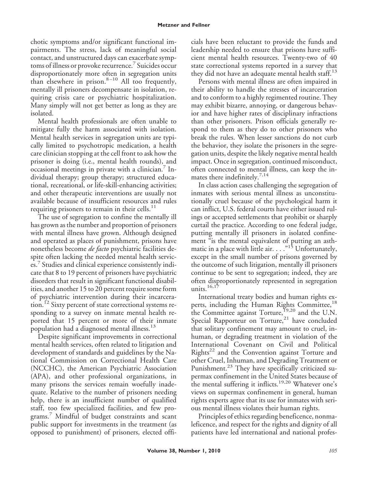## **Metzner and Fellner**

chotic symptoms and/or significant functional impairments. The stress, lack of meaningful social contact, and unstructured days can exacerbate symptoms of illness or provoke recurrence. Suicides occur disproportionately more often in segregation units than elsewhere in prison. $8-10$  All too frequently, mentally ill prisoners decompensate in isolation, requiring crisis care or psychiatric hospitalization. Many simply will not get better as long as they are isolated.

Mental health professionals are often unable to mitigate fully the harm associated with isolation. Mental health services in segregation units are typically limited to psychotropic medication, a health care clinician stopping at the cell front to ask how the prisoner is doing (i.e., mental health rounds), and occasional meetings in private with a clinician.<sup>7</sup> Individual therapy; group therapy; structured educational, recreational, or life-skill-enhancing activities; and other therapeutic interventions are usually not available because of insufficient resources and rules requiring prisoners to remain in their cells. $<sup>11</sup>$ </sup>

The use of segregation to confine the mentally ill has grown as the number and proportion of prisoners with mental illness have grown. Although designed and operated as places of punishment, prisons have nonetheless become *de facto* psychiatric facilities despite often lacking the needed mental health services.<sup>7</sup> Studies and clinical experience consistently indicate that 8 to 19 percent of prisoners have psychiatric disorders that result in significant functional disabilities, and another 15 to 20 percent require some form of psychiatric intervention during their incarcera- $\frac{1}{2}$  Sixty percent of state correctional systems responding to a survey on inmate mental health reported that 15 percent or more of their inmate population had a diagnosed mental illness.<sup>13</sup>

Despite significant improvements in correctional mental health services, often related to litigation and development of standards and guidelines by the National Commission on Correctional Health Care (NCCHC), the American Psychiatric Association (APA), and other professional organizations, in many prisons the services remain woefully inadequate. Relative to the number of prisoners needing help, there is an insufficient number of qualified staff, too few specialized facilities, and few programs.<sup>7</sup> Mindful of budget constraints and scant public support for investments in the treatment (as opposed to punishment) of prisoners, elected officials have been reluctant to provide the funds and leadership needed to ensure that prisons have sufficient mental health resources. Twenty-two of 40 state correctional systems reported in a survey that they did not have an adequate mental health staff.<sup>13</sup>

Persons with mental illness are often impaired in their ability to handle the stresses of incarceration and to conform to a highly regimented routine. They may exhibit bizarre, annoying, or dangerous behavior and have higher rates of disciplinary infractions than other prisoners. Prison officials generally respond to them as they do to other prisoners who break the rules. When lesser sanctions do not curb the behavior, they isolate the prisoners in the segregation units, despite the likely negative mental health impact. Once in segregation, continued misconduct, often connected to mental illness, can keep the inmates there indefinitely.<sup>7,14</sup>

In class action cases challenging the segregation of inmates with serious mental illness as unconstitutionally cruel because of the psychological harm it can inflict, U.S. federal courts have either issued rulings or accepted settlements that prohibit or sharply curtail the practice. According to one federal judge, putting mentally ill prisoners in isolated confinement "is the mental equivalent of putting an asthmatic in a place with little air. . . . "<sup>15</sup> Unfortunately, except in the small number of prisons governed by the outcome of such litigation, mentally ill prisoners continue to be sent to segregation; indeed, they are often disproportionately represented in segregation units. $16,17$ 

International treaty bodies and human rights experts, including the Human Rights Committee,<sup>18</sup> the Committee against Torture, 19,20 and the U.N. Special Rapporteur on Torture,<sup>21</sup> have concluded that solitary confinement may amount to cruel, inhuman, or degrading treatment in violation of the International Covenant on Civil and Political Rights<sup>22</sup> and the Convention against Torture and other Cruel, Inhuman, and Degrading Treatment or Punishment.<sup>23</sup> They have specifically criticized supermax confinement in the United States because of the mental suffering it inflicts.<sup>19,20</sup> Whatever one's views on supermax confinement in general, human rights experts agree that its use for inmates with serious mental illness violates their human rights.

Principles of ethics regarding beneficence, nonmaleficence, and respect for the rights and dignity of all patients have led international and national profes-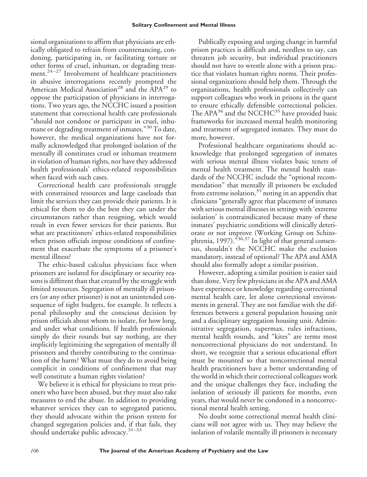sional organizations to affirm that physicians are ethically obligated to refrain from countenancing, condoning, participating in, or facilitating torture or other forms of cruel, inhuman, or degrading treatment.<sup>24-27</sup> Involvement of healthcare practitioners in abusive interrogations recently prompted the American Medical Association<sup>28</sup> and the APA<sup>29</sup> to oppose the participation of physicians in interrogations. Two years ago, the NCCHC issued a position statement that correctional health care professionals "should not condone or participate in cruel, inhumane or degrading treatment of inmates."<sup>30</sup> To date, however, the medical organizations have not formally acknowledged that prolonged isolation of the mentally ill constitutes cruel or inhuman treatment in violation of human rights, nor have they addressed health professionals' ethics-related responsibilities when faced with such cases.

Correctional health care professionals struggle with constrained resources and large caseloads that limit the services they can provide their patients. It is ethical for them to do the best they can under the circumstances rather than resigning, which would result in even fewer services for their patients. But what are practitioners' ethics-related responsibilities when prison officials impose conditions of confinement that exacerbate the symptoms of a prisoner's mental illness?

The ethic-based calculus physicians face when prisoners are isolated for disciplinary or security reasons is different than that created by the struggle with limited resources. Segregation of mentally ill prisoners (or any other prisoner) is not an unintended consequence of tight budgets, for example. It reflects a penal philosophy and the conscious decision by prison officials about whom to isolate, for how long, and under what conditions. If health professionals simply do their rounds but say nothing, are they implicitly legitimizing the segregation of mentally ill prisoners and thereby contributing to the continuation of the harm? What must they do to avoid being complicit in conditions of confinement that may well constitute a human rights violation?

We believe it is ethical for physicians to treat prisoners who have been abused, but they must also take measures to end the abuse. In addition to providing whatever services they can to segregated patients, they should advocate within the prison system for changed segregation policies and, if that fails, they should undertake public advocacy. $31-33$ 

Publically exposing and urging change in harmful prison practices is difficult and, needless to say, can threaten job security, but individual practitioners should not have to wrestle alone with a prison practice that violates human rights norms. Their professional organizations should help them. Through the organizations, health professionals collectively can support colleagues who work in prisons in the quest to ensure ethically defensible correctional policies. The APA<sup>34</sup> and the NCCHC<sup>35</sup> have provided basic frameworks for increased mental health monitoring and treatment of segregated inmates. They must do more, however.

Professional healthcare organizations should acknowledge that prolonged segregation of inmates with serious mental illness violates basic tenets of mental health treatment. The mental health standards of the NCCHC include the "optional recommendation" that mentally ill prisoners be excluded from extreme isolation, $35$  noting in an appendix that clinicians "generally agree that placement of inmates with serious mental illnesses in settings with 'extreme isolation' is contraindicated because many of these inmates' psychiatric conditions will clinically deteriorate or not improve (Working Group on Schizophrenia, 1997)."36,37 In light of that general consensus, shouldn't the NCCHC make the exclusion mandatory, instead of optional? The APA and AMA should also formally adopt a similar position.

However, adopting a similar position is easier said than done. Very few physicians in the APA and AMA have experience or knowledge regarding correctional mental health care, let alone correctional environments in general. They are not familiar with the differences between a general population housing unit and a disciplinary segregation housing unit. Administrative segregation, supermax, rules infractions, mental health rounds, and "kites" are terms most noncorrectional physicians do not understand. In short, we recognize that a serious educational effort must be mounted so that noncorrectional mental health practitioners have a better understanding of the world in which their correctional colleagues work and the unique challenges they face, including the isolation of seriously ill patients for months, even years, that would never be condoned in a noncorrectional mental health setting.

No doubt some correctional mental health clinicians will not agree with us. They may believe the isolation of volatile mentally ill prisoners is necessary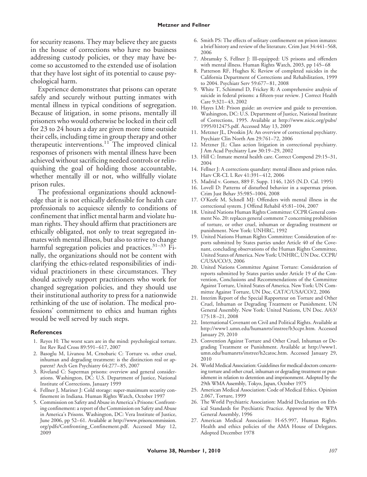for security reasons. They may believe they are guests in the house of corrections who have no business addressing custody policies, or they may have become so accustomed to the extended use of isolation that they have lost sight of its potential to cause psychological harm.

Experience demonstrates that prisons can operate safely and securely without putting inmates with mental illness in typical conditions of segregation. Because of litigation, in some prisons, mentally ill prisoners who would otherwise be locked in their cell for 23 to 24 hours a day are given more time outside their cells, including time in group therapy and other therapeutic interventions.<sup>11</sup> The improved clinical responses of prisoners with mental illness have been achieved without sacrificing needed controls or relinquishing the goal of holding those accountable, whether mentally ill or not, who willfully violate prison rules.

The professional organizations should acknowledge that it is not ethically defensible for health care professionals to acquiesce silently to conditions of confinement that inflict mental harm and violate human rights. They should affirm that practitioners are ethically obligated, not only to treat segregated inmates with mental illness, but also to strive to change harmful segregation policies and practices.<sup>31–33</sup> Finally, the organizations should not be content with clarifying the ethics-related responsibilities of individual practitioners in these circumstances. They should actively support practitioners who work for changed segregation policies, and they should use their institutional authority to press for a nationwide rethinking of the use of isolation. The medical professions' commitment to ethics and human rights would be well served by such steps.

## **References**

- 1. Reyes H: The worst scars are in the mind: psychological torture. Int Rev Red Cross 89:591– 617, 2007
- 2. Basoglu M, Livanou M, Crnobaric C: Torture vs. other cruel, inhuman and degrading treatment: is the distinction real or apparent? Arch Gen Psychiatry 64:277– 85, 2007
- 3. Riveland C: Supermax prisons: overview and general considerations. Washington, DC: U.S. Department of Justice, National Institute of Corrections, January 1999
- 4. Fellner J, Mariner J: Cold storage: super-maximum security confinement in Indiana. Human Rights Watch, October 1997
- 5. Commission on Safety and Abuse in America's Prisons: Confronting confinement: a report of the Commission on Safety and Abuse in America's Prisons. Washington, DC: Vera Institute of Justice, June 2006, pp 52-61. Available at http://www.prisoncommission. org/pdfs/Confronting\_Confinement.pdf. Accessed May 12, 2009
- 6. Smith PS: The effects of solitary confinement on prison inmates: a brief history and review of the literature. Crim Just 34:441–568, 2006
- 7. Abramsky S, Fellner J: Ill-equipped: US prisons and offenders with mental illness. Human Rights Watch, 2003, pp 145– 68
- 8. Patterson RF, Hughes K: Review of completed suicides in the California Department of Corrections and Rehabilitation, 1999 to 2004. Psychiatr Serv 59:677– 81, 2008
- 9. White T, Schimmel D, Frickey R: A comprehensive analysis of suicide in federal prisons: a fifteen-year review. J Correct Health Care 9:321-43, 2002
- 10. Hayes LM: Prison guide: an overview and guide to prevention. Washington, DC: U.S. Department of Justice, National Institute of Corrections, 1995. Available at http://www.nicic.org/pubs/ 1995/012475.pdf. Accessed May 13, 2009
- 11. Metzner JL, Dvoskin JA: An overview of correctional psychiatry. Psychiatr Clin North Am 29:761–72, 2006
- 12. Metzner JL: Class action litigation in correctional psychiatry. J Am Acad Psychiatry Law 30:19 –29, 2002
- 13. Hill C: Inmate mental health care. Correct Compend 29:15–31, 2004
- 14. Fellner J: A corrections quandary: mental illness and prison rules. Harv CR-CL L Rev 41:391-412, 2006
- 15. Madrid v. Gomez, 889 F. Supp. 1146, 1265 (N.D. Cal. 1995)
- 16. Lovell D: Patterns of disturbed behavior in a supermax prison. Crim Just Behav 35:985–1004, 2008
- 17. O'Keefe M, Schnell MJ: Offenders with mental illness in the correctional system. J Offend Rehabil 45:81–104, 2007
- 18. United Nations Human Rights Committee: CCPR General comment No. 20: replaces general comment 7 concerning prohibition of torture, or other cruel, inhuman or degrading treatment or punishment. New York: UNHRC, 1992
- 19. United Nations Human Rights Committee: Consideration of reports submitted by States parties under Article 40 of the Covenant, concluding observations of the Human Rights Committee, United States of America. New York: UNHRC, UN Doc. CCPR/ C/USA/CO/3, 2006
- 20. United Nations Committee Against Torture: Consideration of reports submitted by States parties under Article 19 of the Convention, Conclusions and Recommendations of the Committee Against Torture, United States of America. New York: UN Committee Against Torture, UN Doc. CAT/C/USA/CO/2, 2006
- 21. Interim Report of the Special Rapporteur on Torture and Other Cruel, Inhuman or Degrading Treatment or Punishment. UN General Assembly. New York: United Nations, UN Doc. A/63/ 175:18 –21, 2008
- 22. International Covenant on Civil and Political Rights. Available at http://www1.umn.edu/humanrts/instree/b3ccpr.htm*.* Accessed January 29, 2010
- 23. Convention Against Torture and Other Cruel, Inhuman or Degrading Treatment or Punishment. Available at http://www1. umn.edu/humanrts/instree/h2catoc.htm. Accessed January 29, 2010
- 24. World Medical Association: Guidelines for medical doctors concerning torture and other cruel, inhuman or degrading treatment or punishment in relation to detention and imprisonment. Adopted by the 29th WMA Assembly, Tokyo, Japan, October 1975
- 25. American Medical Association: Code of Medical Ethics. Opinion 2.067, Torture, 1999
- 26. The World Psychiatric Association: Madrid Declaration on Ethical Standards for Psychiatric Practice. Approved by the WPA General Assembly, 1996
- 27. American Medical Association: H-65.997, Human Rights. Health and ethics policies of the AMA House of Delegates. Adopted December 1978